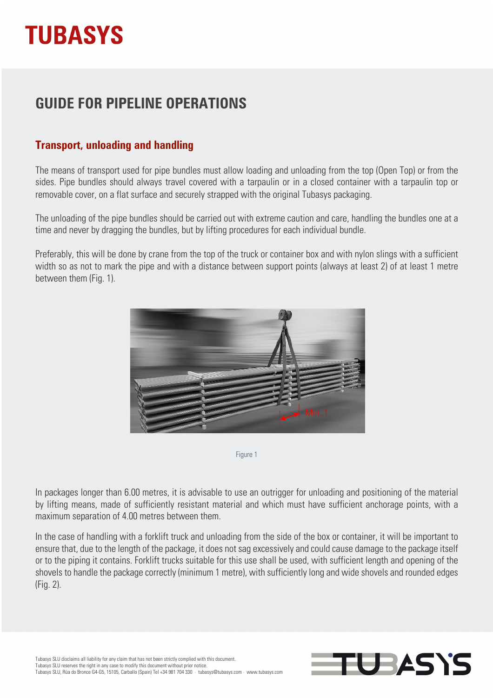# **TUBASYS**

### **GUIDE FOR PIPELINE OPERATIONS**

### **Transport, unloading and handling**

The means of transport used for pipe bundles must allow loading and unloading from the top (Open Top) or from the sides. Pipe bundles should always travel covered with a tarpaulin or in a closed container with a tarpaulin top or removable cover, on a flat surface and securely strapped with the original Tubasys packaging.

The unloading of the pipe bundles should be carried out with extreme caution and care, handling the bundles one at a time and never by dragging the bundles, but by lifting procedures for each individual bundle.

Preferably, this will be done by crane from the top of the truck or container box and with nylon slings with a sufficient width so as not to mark the pipe and with a distance between support points (always at least 2) of at least 1 metre between them (Fig. 1).



Figure 1

In packages longer than 6.00 metres, it is advisable to use an outrigger for unloading and positioning of the material by lifting means, made of sufficiently resistant material and which must have sufficient anchorage points, with a maximum separation of 4.00 metres between them.

In the case of handling with a forklift truck and unloading from the side of the box or container, it will be important to ensure that, due to the length of the package, it does not sag excessively and could cause damage to the package itself or to the piping it contains. Forklift trucks suitable for this use shall be used, with sufficient length and opening of the shovels to handle the package correctly (minimum 1 metre), with sufficiently long and wide shovels and rounded edges (Fig. 2).

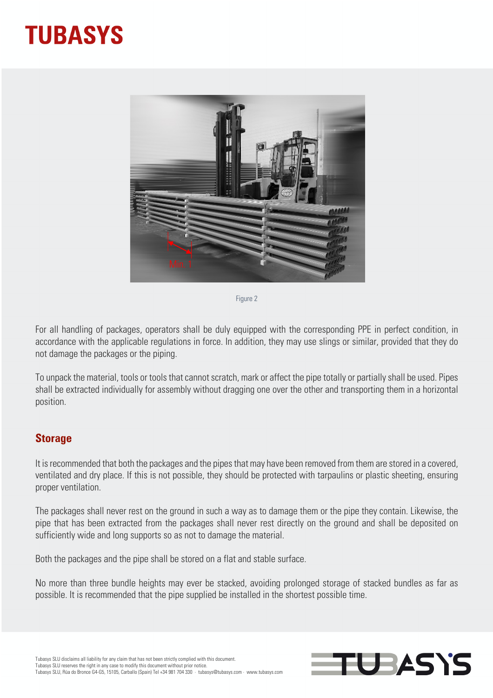## **TUBASYS**



Figure 2

For all handling of packages, operators shall be duly equipped with the corresponding PPE in perfect condition, in accordance with the applicable regulations in force. In addition, they may use slings or similar, provided that they do not damage the packages or the piping.

To unpack the material, tools or tools that cannot scratch, mark or affect the pipe totally or partially shall be used. Pipes shall be extracted individually for assembly without dragging one over the other and transporting them in a horizontal position.

#### **Storage**

It is recommended that both the packages and the pipes that may have been removed from them are stored in a covered, ventilated and dry place. If this is not possible, they should be protected with tarpaulins or plastic sheeting, ensuring proper ventilation.

The packages shall never rest on the ground in such a way as to damage them or the pipe they contain. Likewise, the pipe that has been extracted from the packages shall never rest directly on the ground and shall be deposited on sufficiently wide and long supports so as not to damage the material.

Both the packages and the pipe shall be stored on a flat and stable surface.

No more than three bundle heights may ever be stacked, avoiding prolonged storage of stacked bundles as far as possible. It is recommended that the pipe supplied be installed in the shortest possible time.

**UBASYS**